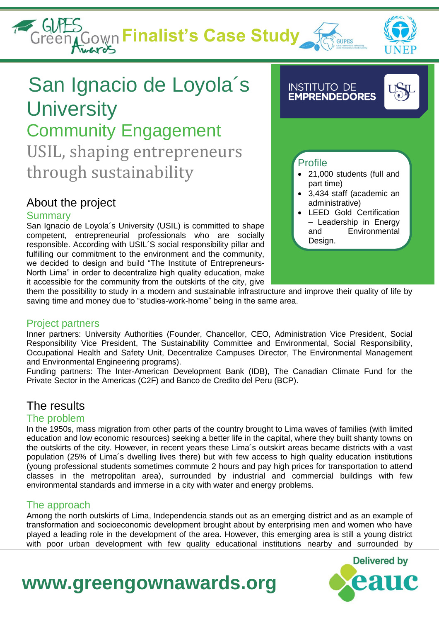**Finalist's Case Study** 





# San Ignacio de Loyola´s **University** Community Engagement USIL, shaping entrepreneurs through sustainability

## About the project

#### Summary

San Ignacio de Loyola´s University (USIL) is committed to shape competent, entrepreneurial professionals who are socially responsible. According with USIL´S social responsibility pillar and fulfilling our commitment to the environment and the community, we decided to design and build "The Institute of Entrepreneurs-North Lima" in order to decentralize high quality education, make it accessible for the community from the outskirts of the city, give

#### **INSTITUTO DE EMPRENDEDORES**



### Profile

- 21,000 students (full and part time)
- 3,434 staff (academic an administrative)
- LEED Gold Certification – Leadership in Energy and Environmental Design.

them the possibility to study in a modern and sustainable infrastructure and improve their quality of life by saving time and money due to "studies-work-home" being in the same area.

### Project partners

Inner partners: University Authorities (Founder, Chancellor, CEO, Administration Vice President, Social Responsibility Vice President, The Sustainability Committee and Environmental, Social Responsibility, Occupational Health and Safety Unit, Decentralize Campuses Director, The Environmental Management and Environmental Engineering programs).

Funding partners: The Inter-American Development Bank (IDB), The Canadian Climate Fund for the Private Sector in the Americas (C2F) and Banco de Credito del Peru (BCP).

## The results

### The problem

In the 1950s, mass migration from other parts of the country brought to Lima waves of families (with limited education and low economic resources) seeking a better life in the capital, where they built shanty towns on the outskirts of the city. However, in recent years these Lima´s outskirt areas became districts with a vast population (25% of Lima´s dwelling lives there) but with few access to high quality education institutions (young professional students sometimes commute 2 hours and pay high prices for transportation to attend classes in the metropolitan area), surrounded by industrial and commercial buildings with few environmental standards and immerse in a city with water and energy problems.

### The approach

Among the north outskirts of Lima, Independencia stands out as an emerging district and as an example of transformation and socioeconomic development brought about by enterprising men and women who have played a leading role in the development of the area. However, this emerging area is still a young district with poor urban development with few quality educational institutions nearby and surrounded by

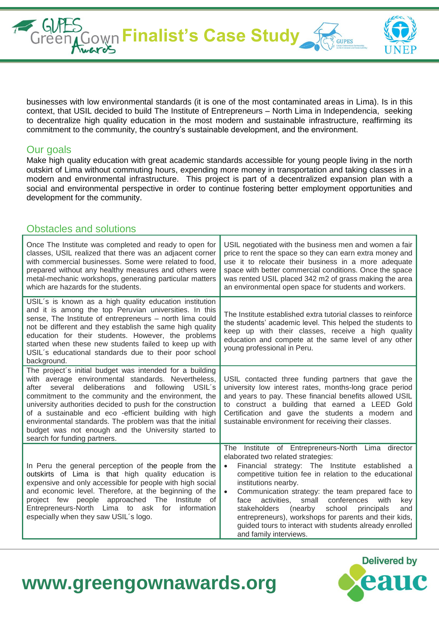businesses with low environmental standards (it is one of the most contaminated areas in Lima). Is in this context, that USIL decided to build The Institute of Entrepreneurs – North Lima in Independencia, seeking to decentralize high quality education in the most modern and sustainable infrastructure, reaffirming its commitment to the community, the country's sustainable development, and the environment.

**Finalist's Case Study** 

#### Our goals

Make high quality education with great academic standards accessible for young people living in the north outskirt of Lima without commuting hours, expending more money in transportation and taking classes in a modern and environmental infrastructure. This project is part of a decentralized expansion plan with a social and environmental perspective in order to continue fostering better employment opportunities and development for the community.

#### Obstacles and solutions

| Once The Institute was completed and ready to open for<br>classes, USIL realized that there was an adjacent corner<br>with commercial businesses. Some were related to food,<br>prepared without any healthy measures and others were<br>metal-mechanic workshops, generating particular matters<br>which are hazards for the students.                                                                                                                                                                  | USIL negotiated with the business men and women a fair<br>price to rent the space so they can earn extra money and<br>use it to relocate their business in a more adequate<br>space with better commercial conditions. Once the space<br>was rented USIL placed 342 m2 of grass making the area<br>an environmental open space for students and workers.                                                                                                                                                                                                                              |
|----------------------------------------------------------------------------------------------------------------------------------------------------------------------------------------------------------------------------------------------------------------------------------------------------------------------------------------------------------------------------------------------------------------------------------------------------------------------------------------------------------|---------------------------------------------------------------------------------------------------------------------------------------------------------------------------------------------------------------------------------------------------------------------------------------------------------------------------------------------------------------------------------------------------------------------------------------------------------------------------------------------------------------------------------------------------------------------------------------|
| USIL's is known as a high quality education institution<br>and it is among the top Peruvian universities. In this<br>sense, The Institute of entrepreneurs - north lima could<br>not be different and they establish the same high quality<br>education for their students. However, the problems<br>started when these new students failed to keep up with<br>USIL's educational standards due to their poor school<br>background.                                                                      | The Institute established extra tutorial classes to reinforce<br>the students' academic level. This helped the students to<br>keep up with their classes, receive a high quality<br>education and compete at the same level of any other<br>young professional in Peru.                                                                                                                                                                                                                                                                                                               |
| The project's initial budget was intended for a building<br>with average environmental standards. Nevertheless,<br>after several deliberations and following USIL's<br>commitment to the community and the environment, the<br>university authorities decided to push for the construction<br>of a sustainable and eco -efficient building with high<br>environmental standards. The problem was that the initial<br>budget was not enough and the University started to<br>search for funding partners. | USIL contacted three funding partners that gave the<br>university low interest rates, months-long grace period<br>and years to pay. These financial benefits allowed USIL<br>to construct a building that earned a LEED Gold<br>Certification and gave the students a modern and<br>sustainable environment for receiving their classes.                                                                                                                                                                                                                                              |
| In Peru the general perception of the people from the<br>outskirts of Lima is that high quality education is<br>expensive and only accessible for people with high social<br>and economic level. Therefore, at the beginning of the<br>project few people approached The Institute of<br>Entrepreneurs-North Lima to ask for<br>information<br>especially when they saw USIL's logo.                                                                                                                     | Institute of Entrepreneurs-North Lima director<br>The<br>elaborated two related strategies:<br>Financial strategy: The Institute established a<br>$\bullet$<br>competitive tuition fee in relation to the educational<br>institutions nearby.<br>Communication strategy: the team prepared face to<br>$\bullet$<br>activities,<br>small<br>conferences<br>face<br>with<br>key<br>stakeholders<br>(nearby<br>school<br>principals<br>and<br>entrepreneurs), workshops for parents and their kids,<br>guided tours to interact with students already enrolled<br>and family interviews. |

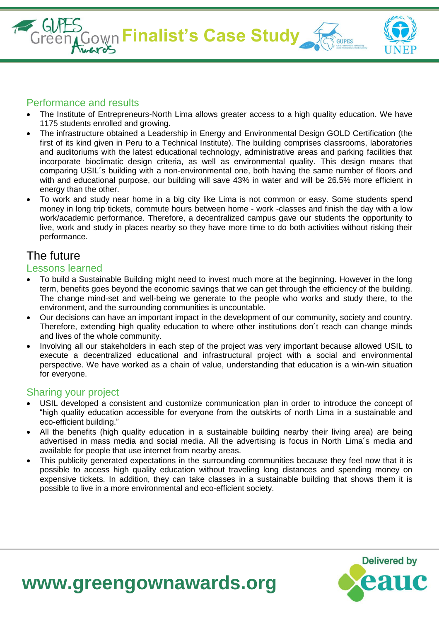**Finalist's Case Study** 



**Delivered by** 

#### Performance and results

- The Institute of Entrepreneurs-North Lima allows greater access to a high quality education. We have 1175 students enrolled and growing.
- The infrastructure obtained a Leadership in Energy and Environmental Design GOLD Certification (the first of its kind given in Peru to a Technical Institute). The building comprises classrooms, laboratories and auditoriums with the latest educational technology, administrative areas and parking facilities that incorporate bioclimatic design criteria, as well as environmental quality. This design means that comparing USIL´s building with a non-environmental one, both having the same number of floors and with and educational purpose, our building will save 43% in water and will be 26.5% more efficient in energy than the other.
- To work and study near home in a big city like Lima is not common or easy. Some students spend money in long trip tickets, commute hours between home - work -classes and finish the day with a low work/academic performance. Therefore, a decentralized campus gave our students the opportunity to live, work and study in places nearby so they have more time to do both activities without risking their performance.

### The future

#### Lessons learned

- To build a Sustainable Building might need to invest much more at the beginning. However in the long term, benefits goes beyond the economic savings that we can get through the efficiency of the building. The change mind-set and well-being we generate to the people who works and study there, to the environment, and the surrounding communities is uncountable.
- Our decisions can have an important impact in the development of our community, society and country. Therefore, extending high quality education to where other institutions don´t reach can change minds and lives of the whole community.
- Involving all our stakeholders in each step of the project was very important because allowed USIL to execute a decentralized educational and infrastructural project with a social and environmental perspective. We have worked as a chain of value, understanding that education is a win-win situation for everyone.

#### Sharing your project

- USIL developed a consistent and customize communication plan in order to introduce the concept of "high quality education accessible for everyone from the outskirts of north Lima in a sustainable and eco-efficient building."
- All the benefits (high quality education in a sustainable building nearby their living area) are being advertised in mass media and social media. All the advertising is focus in North Lima´s media and available for people that use internet from nearby areas.
- This publicity generated expectations in the surrounding communities because they feel now that it is possible to access high quality education without traveling long distances and spending money on expensive tickets. In addition, they can take classes in a sustainable building that shows them it is possible to live in a more environmental and eco-efficient society.